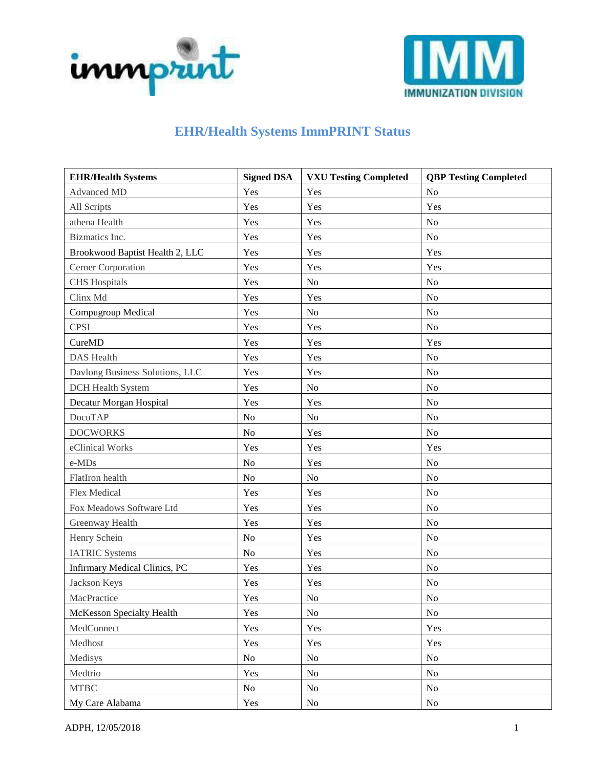



## **EHR/Health Systems ImmPRINT Status**

| <b>EHR/Health Systems</b>            | <b>Signed DSA</b> | <b>VXU Testing Completed</b> | <b>QBP Testing Completed</b> |
|--------------------------------------|-------------------|------------------------------|------------------------------|
| <b>Advanced MD</b>                   | Yes               | Yes                          | No                           |
| All Scripts                          | Yes               | Yes                          | Yes                          |
| athena Health                        | Yes               | Yes                          | No                           |
| Bizmatics Inc.                       | Yes               | Yes                          | N <sub>o</sub>               |
| Brookwood Baptist Health 2, LLC      | Yes               | Yes                          | Yes                          |
| Cerner Corporation                   | Yes               | Yes                          | Yes                          |
| <b>CHS</b> Hospitals                 | Yes               | No                           | N <sub>o</sub>               |
| Clinx Md                             | Yes               | Yes                          | No                           |
| Compugroup Medical                   | Yes               | $\rm No$                     | No                           |
| <b>CPSI</b>                          | Yes               | Yes                          | N <sub>o</sub>               |
| CureMD                               | Yes               | Yes                          | Yes                          |
| <b>DAS</b> Health                    | Yes               | Yes                          | N <sub>o</sub>               |
| Davlong Business Solutions, LLC      | Yes               | Yes                          | N <sub>o</sub>               |
| <b>DCH</b> Health System             | Yes               | No                           | N <sub>o</sub>               |
| Decatur Morgan Hospital              | Yes               | Yes                          | No                           |
| <b>DocuTAP</b>                       | No                | $\rm No$                     | No                           |
| <b>DOCWORKS</b>                      | No                | Yes                          | No                           |
| eClinical Works                      | Yes               | Yes                          | Yes                          |
| e-MDs                                | No                | Yes                          | N <sub>o</sub>               |
| FlatIron health                      | No                | No                           | No                           |
| <b>Flex Medical</b>                  | Yes               | Yes                          | No                           |
| Fox Meadows Software Ltd             | Yes               | Yes                          | No                           |
| Greenway Health                      | Yes               | Yes                          | No                           |
| Henry Schein                         | No                | Yes                          | No                           |
| <b>IATRIC Systems</b>                | No                | Yes                          | N <sub>o</sub>               |
| <b>Infirmary Medical Clinics, PC</b> | Yes               | Yes                          | No                           |
| Jackson Keys                         | Yes               | Yes                          | No                           |
| MacPractice                          | Yes               | $\rm No$                     | No                           |
| McKesson Specialty Health            | Yes               | No                           | No                           |
| MedConnect                           | Yes               | Yes                          | Yes                          |
| Medhost                              | Yes               | Yes                          | Yes                          |
| Medisys                              | No                | No                           | No                           |
| Medtrio                              | Yes               | No                           | No                           |
| <b>MTBC</b>                          | No                | No                           | No                           |
| My Care Alabama                      | Yes               | No                           | $\rm No$                     |